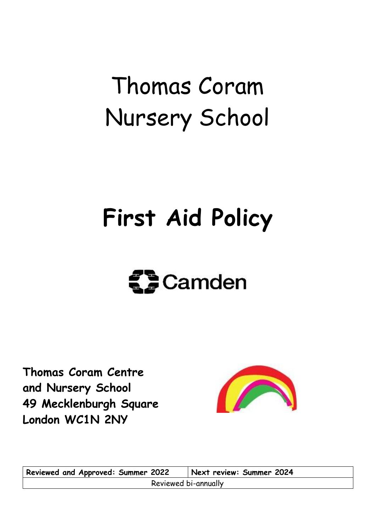# Thomas Coram Nursery School

### **First Aid Policy**

# **ED** Camden

**Thomas Coram Centre and Nursery School 49 Mecklenburgh Square London WC1N 2NY**



**Reviewed and Approved: Summer 2022 Next review: Summer 2024** Reviewed bi-annually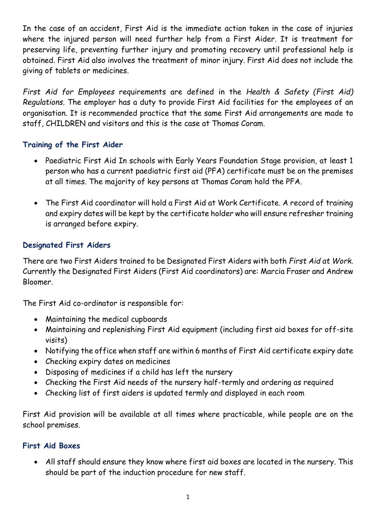In the case of an accident, First Aid is the immediate action taken in the case of injuries where the injured person will need further help from a First Aider. It is treatment for preserving life, preventing further injury and promoting recovery until professional help is obtained. First Aid also involves the treatment of minor injury. First Aid does not include the giving of tablets or medicines.

*First Aid for Employees* requirements are defined in the *Health & Safety (First Aid) Regulations*. The employer has a duty to provide First Aid facilities for the employees of an organisation. It is recommended practice that the same First Aid arrangements are made to staff, CHILDREN and visitors and this is the case at Thomas Coram.

#### **Training of the First Aider**

- Paediatric First Aid In schools with Early Years Foundation Stage provision, at least 1 person who has a current paediatric first aid (PFA) certificate must be on the premises at all times. The majority of key persons at Thomas Coram hold the PFA.
- The First Aid coordinator will hold a First Aid at Work Certificate. A record of training and expiry dates will be kept by the certificate holder who will ensure refresher training is arranged before expiry.

#### **Designated First Aiders**

There are two First Aiders trained to be Designated First Aiders with both *First Aid at Work*. Currently the Designated First Aiders (First Aid coordinators) are: Marcia Fraser and Andrew Bloomer.

The First Aid co-ordinator is responsible for:

- Maintaining the medical cupboards
- Maintaining and replenishing First Aid equipment (including first aid boxes for off-site visits)
- Notifying the office when staff are within 6 months of First Aid certificate expiry date
- Checking expiry dates on medicines
- Disposing of medicines if a child has left the nursery
- Checking the First Aid needs of the nursery half-termly and ordering as required
- Checking list of first aiders is updated termly and displayed in each room

First Aid provision will be available at all times where practicable, while people are on the school premises.

#### **First Aid Boxes**

 All staff should ensure they know where first aid boxes are located in the nursery. This should be part of the induction procedure for new staff.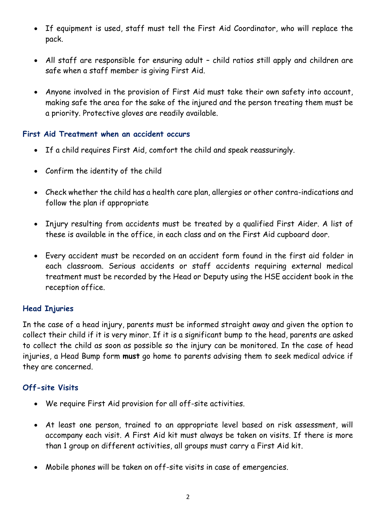- If equipment is used, staff must tell the First Aid Coordinator, who will replace the pack.
- All staff are responsible for ensuring adult child ratios still apply and children are safe when a staff member is giving First Aid.
- Anyone involved in the provision of First Aid must take their own safety into account, making safe the area for the sake of the injured and the person treating them must be a priority. Protective gloves are readily available.

#### **First Aid Treatment when an accident occurs**

- If a child requires First Aid, comfort the child and speak reassuringly.
- Confirm the identity of the child
- Check whether the child has a health care plan, allergies or other contra-indications and follow the plan if appropriate
- Injury resulting from accidents must be treated by a qualified First Aider. A list of these is available in the office, in each class and on the First Aid cupboard door.
- Every accident must be recorded on an accident form found in the first aid folder in each classroom. Serious accidents or staff accidents requiring external medical treatment must be recorded by the Head or Deputy using the HSE accident book in the reception office.

#### **Head Injuries**

In the case of a head injury, parents must be informed straight away and given the option to collect their child if it is very minor. If it is a significant bump to the head, parents are asked to collect the child as soon as possible so the injury can be monitored. In the case of head injuries, a Head Bump form **must** go home to parents advising them to seek medical advice if they are concerned.

#### **Off-site Visits**

- We require First Aid provision for all off-site activities.
- At least one person, trained to an appropriate level based on risk assessment, will accompany each visit. A First Aid kit must always be taken on visits. If there is more than 1 group on different activities, all groups must carry a First Aid kit.
- Mobile phones will be taken on off-site visits in case of emergencies.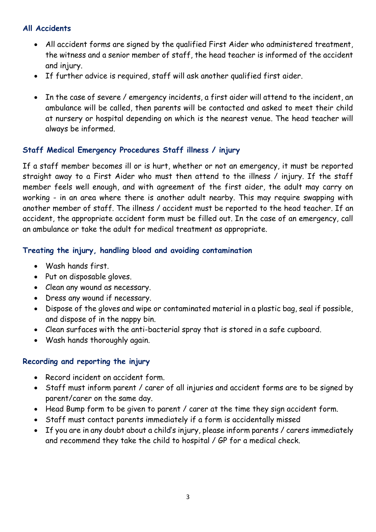#### **All Accidents**

- All accident forms are signed by the qualified First Aider who administered treatment, the witness and a senior member of staff, the head teacher is informed of the accident and injury.
- If further advice is required, staff will ask another qualified first aider.
- In the case of severe / emergency incidents, a first aider will attend to the incident, an ambulance will be called, then parents will be contacted and asked to meet their child at nursery or hospital depending on which is the nearest venue. The head teacher will always be informed.

#### **Staff Medical Emergency Procedures Staff illness / injury**

If a staff member becomes ill or is hurt, whether or not an emergency, it must be reported straight away to a First Aider who must then attend to the illness / injury. If the staff member feels well enough, and with agreement of the first aider, the adult may carry on working - in an area where there is another adult nearby. This may require swapping with another member of staff. The illness / accident must be reported to the head teacher. If an accident, the appropriate accident form must be filled out. In the case of an emergency, call an ambulance or take the adult for medical treatment as appropriate.

#### **Treating the injury, handling blood and avoiding contamination**

- Wash hands first.
- Put on disposable gloves.
- Clean any wound as necessary.
- Dress any wound if necessary.
- Dispose of the gloves and wipe or contaminated material in a plastic bag, seal if possible, and dispose of in the nappy bin.
- Clean surfaces with the anti-bacterial spray that is stored in a safe cupboard.
- Wash hands thoroughly again.

#### **Recording and reporting the injury**

- Record incident on accident form.
- Staff must inform parent / carer of all injuries and accident forms are to be signed by parent/carer on the same day.
- Head Bump form to be given to parent / carer at the time they sign accident form.
- Staff must contact parents immediately if a form is accidentally missed
- If you are in any doubt about a child's injury, please inform parents / carers immediately and recommend they take the child to hospital / GP for a medical check.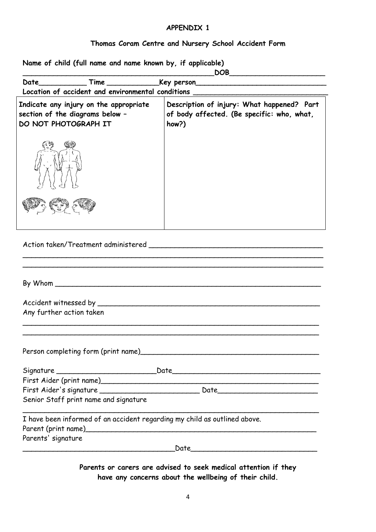#### **APPENDIX 1**

#### **Thomas Coram Centre and Nursery School Accident Form**

**Name of child (full name and name known by, if applicable)**

|                                                                                                   | $\mathsf{DOB}\_$<br><u> 1989 - Johann Harry Harry Harry Harry Harry Harry Harry Harry Harry Harry Harry Harry Harry Harry Harry Harry</u> |
|---------------------------------------------------------------------------------------------------|-------------------------------------------------------------------------------------------------------------------------------------------|
|                                                                                                   |                                                                                                                                           |
|                                                                                                   | Location of accident and environmental conditions ______________________________                                                          |
| Indicate any injury on the appropriate<br>section of the diagrams below -<br>DO NOT PHOTOGRAPH IT | Description of injury: What happened? Part<br>of body affected. (Be specific: who, what,<br>how?)                                         |
|                                                                                                   |                                                                                                                                           |
|                                                                                                   |                                                                                                                                           |
|                                                                                                   |                                                                                                                                           |
|                                                                                                   |                                                                                                                                           |
|                                                                                                   |                                                                                                                                           |
| Any further action taken                                                                          |                                                                                                                                           |
| Person completing form (print name <u>)</u>                                                       |                                                                                                                                           |
|                                                                                                   |                                                                                                                                           |
|                                                                                                   | First Aider (print name) contained a state of the state of the state of the state of the state of the state of                            |
|                                                                                                   |                                                                                                                                           |
|                                                                                                   |                                                                                                                                           |
| Senior Staff print name and signature                                                             |                                                                                                                                           |
|                                                                                                   | I have been informed of an accident regarding my child as outlined above.                                                                 |
| Parents' signature                                                                                |                                                                                                                                           |

**Parents or carers are advised to seek medical attention if they have any concerns about the wellbeing of their child.**